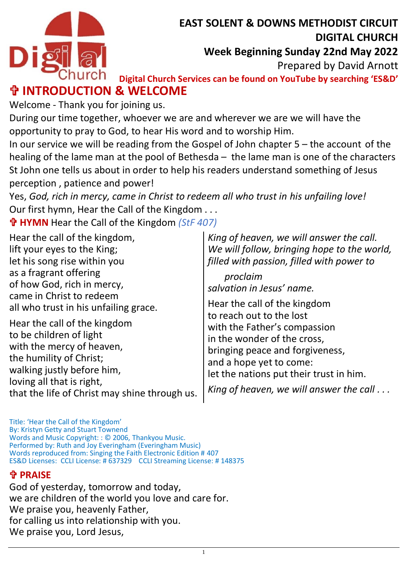

# **EAST SOLENT & DOWNS METHODIST CIRCUIT DIGITAL CHURCH**

**Week Beginning Sunday 22nd May 2022**

Prepared by David Arnott

**Digital Church Services can be found on YouTube by searching 'ES&D' INTRODUCTION & WELCOME**

Welcome - Thank you for joining us.

During our time together, whoever we are and wherever we are we will have the opportunity to pray to God, to hear His word and to worship Him.

In our service we will be reading from the Gospel of John chapter 5 – the account of the healing of the lame man at the pool of Bethesda – the lame man is one of the characters St John one tells us about in order to help his readers understand something of Jesus perception , patience and power!

Yes, *God, rich in mercy, came in Christ to redeem all who trust in his unfailing love!* Our first hymn, Hear the Call of the Kingdom . . .

**HYMN** Hear the Call of the Kingdom *(StF 407)*

| Hear the call of the kingdom,<br>lift your eyes to the King;<br>let his song rise within you                                                                               | King of heaven, we will answer the call.<br>We will follow, bringing hope to the world,<br>filled with passion, filled with power to                                                                                                                                                |
|----------------------------------------------------------------------------------------------------------------------------------------------------------------------------|-------------------------------------------------------------------------------------------------------------------------------------------------------------------------------------------------------------------------------------------------------------------------------------|
| as a fragrant offering<br>of how God, rich in mercy,<br>came in Christ to redeem                                                                                           | proclaim<br>salvation in Jesus' name.                                                                                                                                                                                                                                               |
| all who trust in his unfailing grace.                                                                                                                                      | Hear the call of the kingdom<br>to reach out to the lost<br>with the Father's compassion<br>in the wonder of the cross,<br>bringing peace and forgiveness,<br>and a hope yet to come:<br>let the nations put their trust in him.<br>King of heaven, we will answer the call $\dots$ |
| Hear the call of the kingdom<br>to be children of light<br>with the mercy of heaven,<br>the humility of Christ;<br>walking justly before him,<br>loving all that is right, |                                                                                                                                                                                                                                                                                     |
| that the life of Christ may shine through us.                                                                                                                              |                                                                                                                                                                                                                                                                                     |

Title: 'Hear the Call of the Kingdom' By: Kristyn Getty and Stuart Townend Words and Music Copyright: : © 2006, Thankyou Music. Performed by: Ruth and Joy Everingham (Everingham Music) Words reproduced from: Singing the Faith Electronic Edition # 407 ES&D Licenses: CCLI License: # 637329 CCLI Streaming License: # 148375

# **PRAISE**

God of yesterday, tomorrow and today, we are children of the world you love and care for. We praise you, heavenly Father, for calling us into relationship with you. We praise you, Lord Jesus,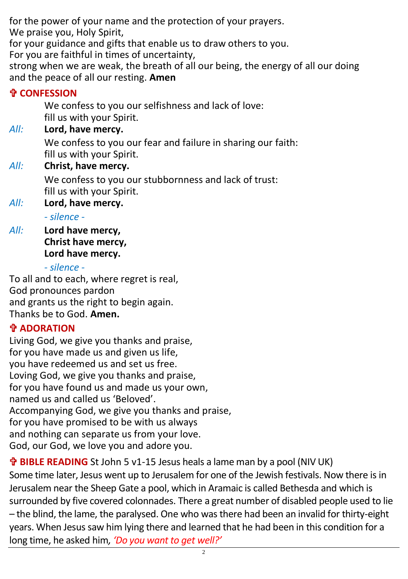for the power of your name and the protection of your prayers. We praise you, Holy Spirit,

for your guidance and gifts that enable us to draw others to you.

For you are faithful in times of uncertainty,

strong when we are weak, the breath of all our being, the energy of all our doing and the peace of all our resting. **Amen**

# **OONFESSION**

We confess to you our selfishness and lack of love: fill us with your Spirit.

### *All:* **Lord, have mercy.**

We confess to you our fear and failure in sharing our faith: fill us with your Spirit.

### *All:* **Christ, have mercy.**

We confess to you our stubbornness and lack of trust: fill us with your Spirit.

*All:* **Lord, have mercy.**

*- silence -*

#### *All:* **Lord have mercy, Christ have mercy, Lord have mercy.**

*- silence -*

To all and to each, where regret is real, God pronounces pardon and grants us the right to begin again. Thanks be to God. **Amen.**

### **令 ADORATION**

Living God, we give you thanks and praise, for you have made us and given us life, you have redeemed us and set us free. Loving God, we give you thanks and praise, for you have found us and made us your own, named us and called us 'Beloved'. Accompanying God, we give you thanks and praise, for you have promised to be with us always and nothing can separate us from your love. God, our God, we love you and adore you.

 **BIBLE READING** St John 5 v1-15 Jesus heals a lame man by a pool (NIV UK) Some time later, Jesus went up to Jerusalem for one of the Jewish festivals. Now there is in Jerusalem near the Sheep Gate a pool, which in Aramaic is called Bethesda and which is surrounded by five covered colonnades. There a great number of disabled people used to lie – the blind, the lame, the paralysed. One who was there had been an invalid for thirty-eight years. When Jesus saw him lying there and learned that he had been in this condition for a long time, he asked him*, 'Do you want to get well?'*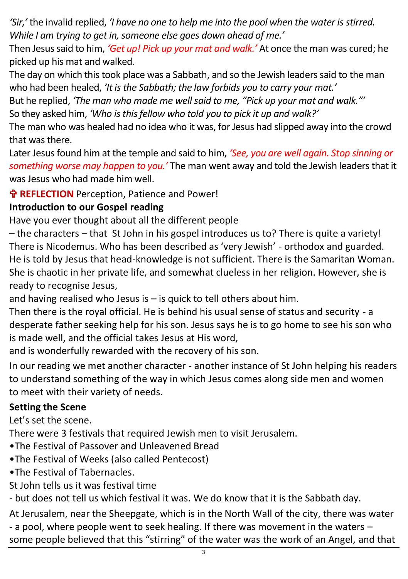*'Sir,'* the invalid replied, *'I have no one to help me into the pool when the water is stirred. While I am trying to get in, someone else goes down ahead of me.'*

Then Jesus said to him, *'Get up! Pick up your mat and walk.'* At once the man was cured; he picked up his mat and walked.

The day on which this took place was a Sabbath, and so the Jewish leaders said to the man who had been healed, *'It is the Sabbath; the law forbids you to carry your mat.'*

But he replied, *'The man who made me well said to me, "Pick up your mat and walk."'* So they asked him, *'Who is this fellow who told you to pick it up and walk?'*

The man who was healed had no idea who it was, for Jesus had slipped away into the crowd that was there.

Later Jesus found him at the temple and said to him, *'See, you are well again. Stop sinning or something worse may happen to you.'* The man went away and told the Jewish leaders that it was Jesus who had made him well.

**REFLECTION** Perception, Patience and Power!

#### **Introduction to our Gospel reading**

Have you ever thought about all the different people

– the characters – that St John in his gospel introduces us to? There is quite a variety! There is Nicodemus. Who has been described as 'very Jewish' - orthodox and guarded. He is told by Jesus that head-knowledge is not sufficient. There is the Samaritan Woman. She is chaotic in her private life, and somewhat clueless in her religion. However, she is ready to recognise Jesus,

and having realised who Jesus is  $-$  is quick to tell others about him.

Then there is the royal official. He is behind his usual sense of status and security - a desperate father seeking help for his son. Jesus says he is to go home to see his son who is made well, and the official takes Jesus at His word,

and is wonderfully rewarded with the recovery of his son.

In our reading we met another character - another instance of St John helping his readers to understand something of the way in which Jesus comes along side men and women to meet with their variety of needs.

### **Setting the Scene**

Let's set the scene.

There were 3 festivals that required Jewish men to visit Jerusalem.

- •The Festival of Passover and Unleavened Bread
- •The Festival of Weeks (also called Pentecost)
- •The Festival of Tabernacles.
- St John tells us it was festival time

- but does not tell us which festival it was. We do know that it is the Sabbath day.

At Jerusalem, near the Sheepgate, which is in the North Wall of the city, there was water - a pool, where people went to seek healing. If there was movement in the waters – some people believed that this "stirring" of the water was the work of an Angel, and that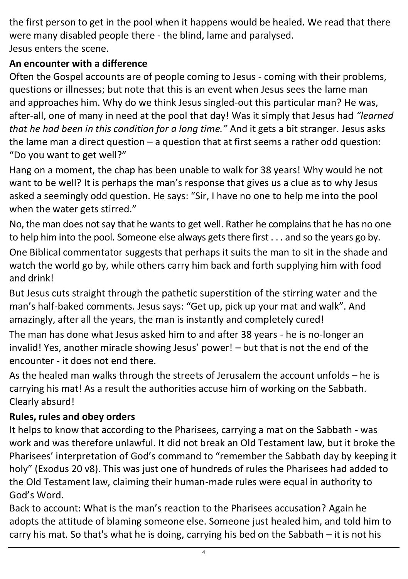the first person to get in the pool when it happens would be healed. We read that there were many disabled people there - the blind, lame and paralysed. Jesus enters the scene.

### **An encounter with a difference**

Often the Gospel accounts are of people coming to Jesus - coming with their problems, questions or illnesses; but note that this is an event when Jesus sees the lame man and approaches him. Why do we think Jesus singled-out this particular man? He was, after-all, one of many in need at the pool that day! Was it simply that Jesus had *"learned that he had been in this condition for a long time."* And it gets a bit stranger. Jesus asks the lame man a direct question – a question that at first seems a rather odd question: "Do you want to get well?"

Hang on a moment, the chap has been unable to walk for 38 years! Why would he not want to be well? It is perhaps the man's response that gives us a clue as to why Jesus asked a seemingly odd question. He says: "Sir, I have no one to help me into the pool when the water gets stirred."

No, the man does not say that he wants to get well. Rather he complains that he has no one to help him into the pool. Someone else always gets there first . . . and so the years go by.

One Biblical commentator suggests that perhaps it suits the man to sit in the shade and watch the world go by, while others carry him back and forth supplying him with food and drink!

But Jesus cuts straight through the pathetic superstition of the stirring water and the man's half-baked comments. Jesus says: "Get up, pick up your mat and walk". And amazingly, after all the years, the man is instantly and completely cured!

The man has done what Jesus asked him to and after 38 years - he is no-longer an invalid! Yes, another miracle showing Jesus' power! – but that is not the end of the encounter - it does not end there.

As the healed man walks through the streets of Jerusalem the account unfolds – he is carrying his mat! As a result the authorities accuse him of working on the Sabbath. Clearly absurd!

### **Rules, rules and obey orders**

It helps to know that according to the Pharisees, carrying a mat on the Sabbath - was work and was therefore unlawful. It did not break an Old Testament law, but it broke the Pharisees' interpretation of God's command to "remember the Sabbath day by keeping it holy" (Exodus 20 v8). This was just one of hundreds of rules the Pharisees had added to the Old Testament law, claiming their human-made rules were equal in authority to God's Word.

Back to account: What is the man's reaction to the Pharisees accusation? Again he adopts the attitude of blaming someone else. Someone just healed him, and told him to carry his mat. So that's what he is doing, carrying his bed on the Sabbath – it is not his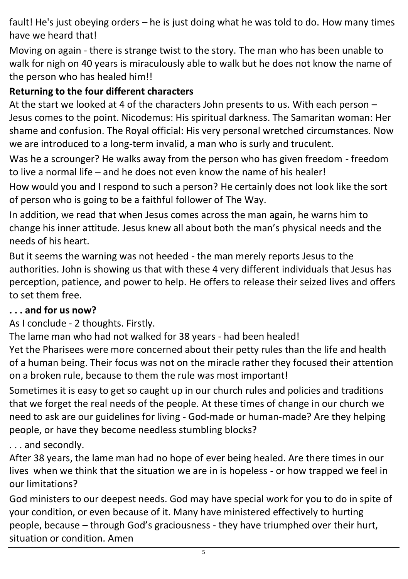fault! He's just obeying orders – he is just doing what he was told to do. How many times have we heard that!

Moving on again - there is strange twist to the story. The man who has been unable to walk for nigh on 40 years is miraculously able to walk but he does not know the name of the person who has healed him!!

### **Returning to the four different characters**

At the start we looked at 4 of the characters John presents to us. With each person – Jesus comes to the point. Nicodemus: His spiritual darkness. The Samaritan woman: Her shame and confusion. The Royal official: His very personal wretched circumstances. Now we are introduced to a long-term invalid, a man who is surly and truculent.

Was he a scrounger? He walks away from the person who has given freedom - freedom to live a normal life – and he does not even know the name of his healer!

How would you and I respond to such a person? He certainly does not look like the sort of person who is going to be a faithful follower of The Way.

In addition, we read that when Jesus comes across the man again, he warns him to change his inner attitude. Jesus knew all about both the man's physical needs and the needs of his heart.

But it seems the warning was not heeded - the man merely reports Jesus to the authorities. John is showing us that with these 4 very different individuals that Jesus has perception, patience, and power to help. He offers to release their seized lives and offers to set them free.

#### **. . . and for us now?**

As I conclude - 2 thoughts. Firstly.

The lame man who had not walked for 38 years - had been healed!

Yet the Pharisees were more concerned about their petty rules than the life and health of a human being. Their focus was not on the miracle rather they focused their attention on a broken rule, because to them the rule was most important!

Sometimes it is easy to get so caught up in our church rules and policies and traditions that we forget the real needs of the people. At these times of change in our church we need to ask are our guidelines for living - God-made or human-made? Are they helping people, or have they become needless stumbling blocks?

. . . and secondly.

After 38 years, the lame man had no hope of ever being healed. Are there times in our lives when we think that the situation we are in is hopeless - or how trapped we feel in our limitations?

God ministers to our deepest needs. God may have special work for you to do in spite of your condition, or even because of it. Many have ministered effectively to hurting people, because – through God's graciousness - they have triumphed over their hurt, situation or condition. Amen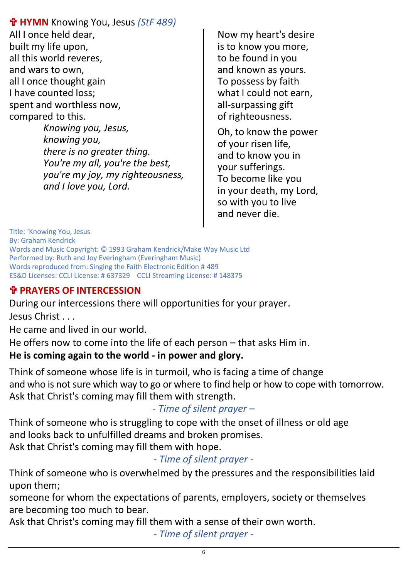**HYMN** Knowing You, Jesus *(StF 489)* All I once held dear, built my life upon, all this world reveres, and wars to own, all I once thought gain I have counted loss; spent and worthless now, compared to this.

*Knowing you, Jesus, knowing you, there is no greater thing. You're my all, you're the best, you're my joy, my righteousness, and I love you, Lord.*

Now my heart's desire is to know you more, to be found in you and known as yours. To possess by faith what I could not earn. all-surpassing gift of righteousness.

Oh, to know the power of your risen life, and to know you in your sufferings. To become like you in your death, my Lord, so with you to live and never die.

Title: 'Knowing You, Jesus By: Graham Kendrick Words and Music Copyright: © 1993 Graham Kendrick/Make Way Music Ltd Performed by: Ruth and Joy Everingham (Everingham Music) Words reproduced from: Singing the Faith Electronic Edition # 489 ES&D Licenses: CCLI License: # 637329 CCLI Streaming License: # 148375

# **PRAYERS OF INTERCESSION**

During our intercessions there will opportunities for your prayer.

Jesus Christ . . .

He came and lived in our world.

He offers now to come into the life of each person – that asks Him in.

### **He is coming again to the world - in power and glory.**

Think of someone whose life is in turmoil, who is facing a time of change and who is not sure which way to go or where to find help or how to cope with tomorrow. Ask that Christ's coming may fill them with strength.

### *- Time of silent prayer –*

Think of someone who is struggling to cope with the onset of illness or old age and looks back to unfulfilled dreams and broken promises.

Ask that Christ's coming may fill them with hope.

### *- Time of silent prayer -*

Think of someone who is overwhelmed by the pressures and the responsibilities laid upon them;

someone for whom the expectations of parents, employers, society or themselves are becoming too much to bear.

Ask that Christ's coming may fill them with a sense of their own worth.

*- Time of silent prayer -*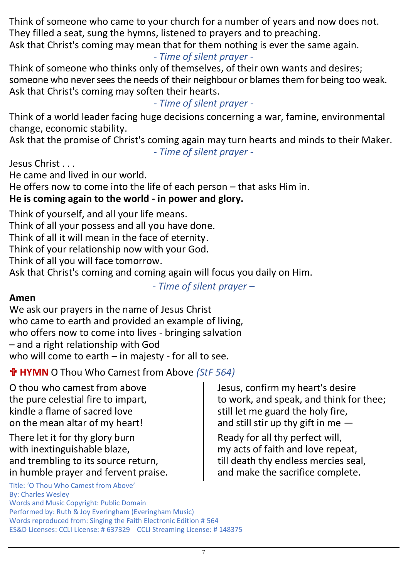Think of someone who came to your church for a number of years and now does not. They filled a seat, sung the hymns, listened to prayers and to preaching.

Ask that Christ's coming may mean that for them nothing is ever the same again.

# *- Time of silent prayer -*

Think of someone who thinks only of themselves, of their own wants and desires; someone who never sees the needs of their neighbour or blames them for being too weak. Ask that Christ's coming may soften their hearts.

*- Time of silent prayer -*

Think of a world leader facing huge decisions concerning a war, famine, environmental change, economic stability.

Ask that the promise of Christ's coming again may turn hearts and minds to their Maker. *- Time of silent prayer -*

Jesus Christ . . .

He came and lived in our world.

He offers now to come into the life of each person – that asks Him in.

# **He is coming again to the world - in power and glory.**

Think of yourself, and all your life means.

Think of all your possess and all you have done.

Think of all it will mean in the face of eternity.

Think of your relationship now with your God.

Think of all you will face tomorrow.

Ask that Christ's coming and coming again will focus you daily on Him.

*- Time of silent prayer –*

#### **Amen**

We ask our prayers in the name of Jesus Christ who came to earth and provided an example of living, who offers now to come into lives - bringing salvation – and a right relationship with God who will come to earth – in majesty - for all to see.

**HYMN** O Thou Who Camest from Above *(StF 564)*

O thou who camest from above the pure celestial fire to impart, kindle a flame of sacred love on the mean altar of my heart!

There let it for thy glory burn with inextinguishable blaze, and trembling to its source return, in humble prayer and fervent praise.

Title: 'O Thou Who Camest from Above' By: Charles Wesley Words and Music Copyright: Public Domain Performed by: Ruth & Joy Everingham (Everingham Music) Words reproduced from: Singing the Faith Electronic Edition # 564 ES&D Licenses: CCLI License: # 637329 CCLI Streaming License: # 148375

Jesus, confirm my heart's desire to work, and speak, and think for thee; still let me guard the holy fire, and still stir up thy gift in me  $-$ Ready for all thy perfect will, my acts of faith and love repeat, till death thy endless mercies seal, and make the sacrifice complete.